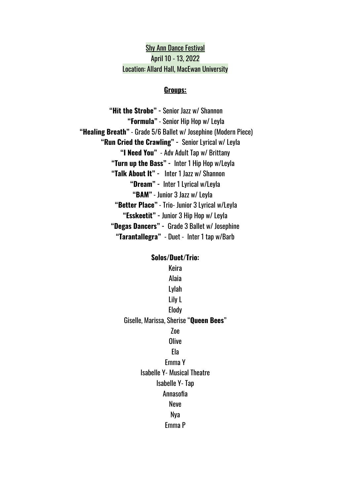Shy Ann Dance Festival April 10 - 13, 2022 Location: Allard Hall, MacEwan University

#### **Groups:**

**"Hit the Strobe" -** Senior Jazz w/ Shannon **"Formula"** - Senior Hip Hop w/ Leyla **"Healing Breath"** - Grade 5/6 Ballet w/ Josephine (Modern Piece) **"Run Cried the Crawling" -** Senior Lyrical w/ Leyla **"I Need You"** - Adv Adult Tap w/ Brittany **"Turn up the Bass" -** Inter 1 Hip Hop w/Leyla **"Talk About It" -** Inter 1 Jazz w/ Shannon **"Dream" -** Inter 1 Lyrical w/Leyla **"BAM"** - Junior 3 Jazz w/ Leyla **"Better Place"** - Trio- Junior 3 Lyrical w/Leyla **"Esskeetit" -** Junior 3 Hip Hop w/ Leyla **"Degas Dancers" -** Grade 3 Ballet w/ Josephine **"Tarantallegra"** - Duet - Inter 1 tap w/Barb

# **Solos/Duet/Trio:** Keira Alaia Lylah Lily L Elody Giselle, Marissa, Sherise "**Queen Bees**" Zoe **Olive** Ela Emma Y Isabelle Y- Musical Theatre Isabelle Y- Tap Annasofia Neve Nya Emma P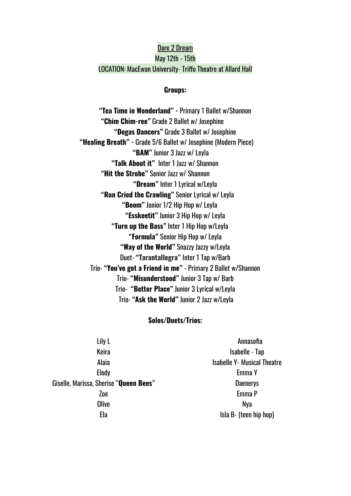### Dare 2 Dream May 12th - 15th LOCATION: MacEwan University- Triffo Theatre at Allard Hall

#### **Groups:**

**"Tea Time in Wonderland" -** Primary 1 Ballet w/Shannon **"Chim Chim-ree"** Grade 2 Ballet w/ Josephine **"Degas Dancers"** Grade 3 Ballet w/ Josephine **"Healing Breath" -** Grade 5/6 Ballet w/ Josephine (Modern Piece) **"BAM"** Junior 3 Jazz w/ Leyla **"Talk About it"** Inter 1 Jazz w/ Shannon **"Hit the Strobe"** Senior Jazz w/ Shannon **"Dream"** Inter 1 Lyrical w/Leyla **"Run Cried the Crawling"** Senior Lyrical w/ Leyla **"Boom"** Junior 1/2 Hip Hop w/ Leyla **"Esskeetit"** Junior 3 Hip Hop w/ Leyla **"Turn up the Bass"** Inter 1 Hip Hop w/Leyla **"Formula"** Senior Hip Hop w/ Leyla **"Way of the World"** Snazzy Jazzy w/Leyla Duet- **"Tarantallegra"** Inter 1 Tap w/Barb Trio- **"You've got a Friend in me"** - Primary 2 Ballet w/Shannon Trio- **"Misunderstood"** Junior 3 Tap w/ Barb Trio- **"Better Place"** Junior 3 Lyrical w/Leyla Trio- **"Ask the World"** Junior 2 Jazz w/Leyla

### **Solos/Duets/Trios:**

| Lily L                                 | Annasofia                          |
|----------------------------------------|------------------------------------|
| Keira                                  | Isabelle - Tap                     |
| Alaia                                  | <b>Isabelle Y- Musical Theatre</b> |
| <b>Elody</b>                           | Emma Y                             |
| Giselle, Marissa, Sherise "Queen Bees" | <b>Daenerys</b>                    |
| Zoe                                    | Emma P                             |
| Olive                                  | Nya                                |
| Ela                                    | Isla B- (teen hip hop)             |
|                                        |                                    |